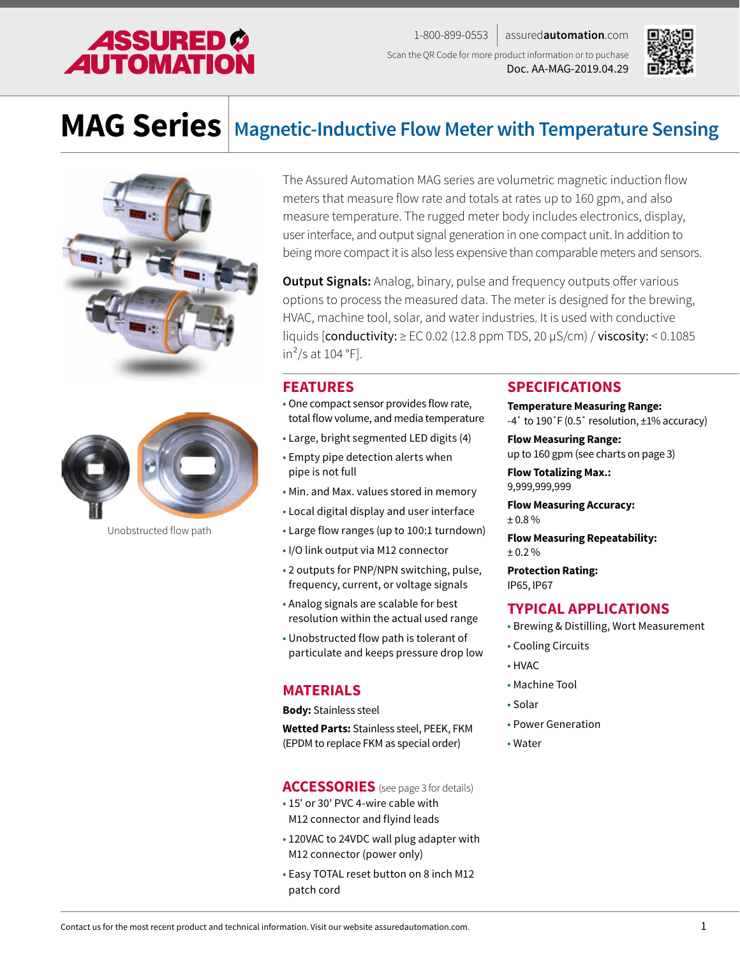

1-800-899-0553 assured**automation**.com Scan the QR Code for more product information or to puchase Doc. AA-MAG-2019.04.29



# **MAG Series Magnetic-Inductive Flow Meter with Temperature Sensing**





Unobstructed flow path

The Assured Automation MAG series are volumetric magnetic induction flow meters that measure flow rate and totals at rates up to 160 gpm, and also measure temperature. The rugged meter body includes electronics, display, user interface, and output signal generation in one compact unit. In addition to being more compact it is also less expensive than comparable meters and sensors.

**Output Signals:** Analog, binary, pulse and frequency outputs offer various options to process the measured data. The meter is designed for the brewing, HVAC, machine tool, solar, and water industries. It is used with conductive liquids  $[conductivity: \geq EC 0.02$  (12.8 ppm TDS, 20  $\mu$ S/cm) / viscosity: < 0.1085 in<sup>2</sup>/s at 104  $\degree$ F].

#### **FEATURES**

- One compact sensor provides flow rate, total flow volume, and media temperature
- Large, bright segmented LED digits (4)
- Empty pipe detection alerts when pipe is not full
- Min. and Max. values stored in memory
- Local digital display and user interface
- Large flow ranges (up to 100:1 turndown)
- I/O link output via M12 connector
- 2 outputs for PNP/NPN switching, pulse, frequency, current, or voltage signals
- Analog signals are scalable for best resolution within the actual used range
- Unobstructed flow path is tolerant of particulate and keeps pressure drop low

#### **MATERIALS**

**Body:** Stainless steel

**Wetted Parts:** Stainless steel, PEEK, FKM (EPDM to replace FKM as special order)

#### **ACCESSORIES** (see page 3 for details)

- 15' or 30' PVC 4-wire cable with M12 connector and flyind leads
- 120VAC to 24VDC wall plug adapter with M12 connector (power only)
- Easy TOTAL reset button on 8 inch M12 patch cord

#### **SPECIFICATIONS**

#### **Temperature Measuring Range:** -4˚ to 190˚F (0.5˚ resolution, ±1% accuracy)

**Flow Measuring Range:**

up to 160 gpm (see charts on page 3)

**Flow Totalizing Max.:** 9,999,999,999

**Flow Measuring Accuracy:** ± 0.8 %

**Flow Measuring Repeatability:** ± 0.2 %

**Protection Rating:** IP65, IP67

#### **TYPICAL APPLICATIONS**

- Brewing & Distilling, Wort Measurement
- Cooling Circuits
- HVAC
- Machine Tool
- Solar
- Power Generation
- Water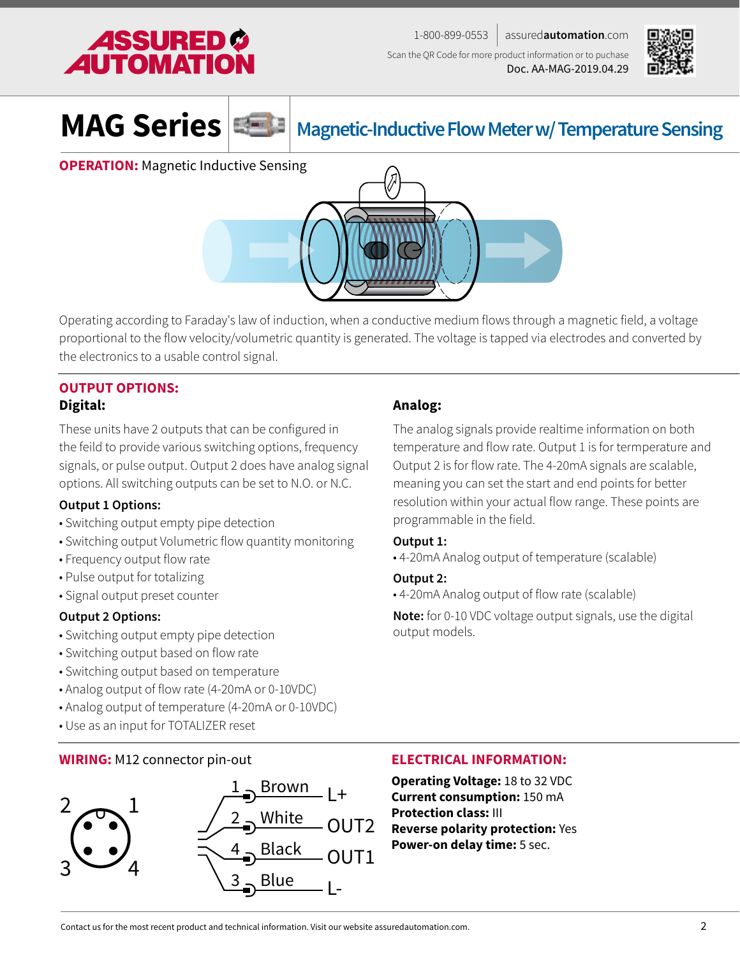





## **MAG Series Magnetic-Inductive Flow Meter w/ Temperature Sensing**

**OPERATION:** Magnetic Inductive Sensing



Operating according to Faraday's law of induction, when a conductive medium flows through a magnetic field, a voltage proportional to the flow velocity/volumetric quantity is generated. The voltage is tapped via electrodes and converted by the electronics to a usable control signal.

### **OUTPUT OPTIONS: Digital:**

These units have 2 outputs that can be configured in the feild to provide various switching options, frequency signals, or pulse output. Output 2 does have analog signal options. All switching outputs can be set to N.O. or N.C.

#### **Output 1 Options:**

- Switching output empty pipe detection
- Switching output Volumetric flow quantity monitoring
- Frequency output flow rate
- Pulse output for totalizing
- Signal output preset counter

#### **Output 2 Options:**

- Switching output empty pipe detection
- Switching output based on flow rate
- Switching output based on temperature
- Analog output of flow rate (4-20mA or 0-10VDC)
- Analog output of temperature (4-20mA or 0-10VDC)
- Use as an input for TOTALIZER reset

#### **WIRING:** M12 connector pin-out



#### **Analog:**

The analog signals provide realtime information on both temperature and flow rate. Output 1 is for termperature and Output 2 is for flow rate. The 4-20mA signals are scalable, meaning you can set the start and end points for better resolution within your actual flow range. These points are programmable in the field.

#### **Output 1:**

• 4-20mA Analog output of temperature (scalable)

**Output 2:**

• 4-20mA Analog output of flow rate (scalable)

**Note:** for 0-10 VDC voltage output signals, use the digital output models.

#### **ELECTRICAL INFORMATION:**

**Operating Voltage:** 18 to 32 VDC **Current consumption:** 150 mA **Protection class:** III **Reverse polarity protection:** Yes **Power-on delay time:** 5 sec.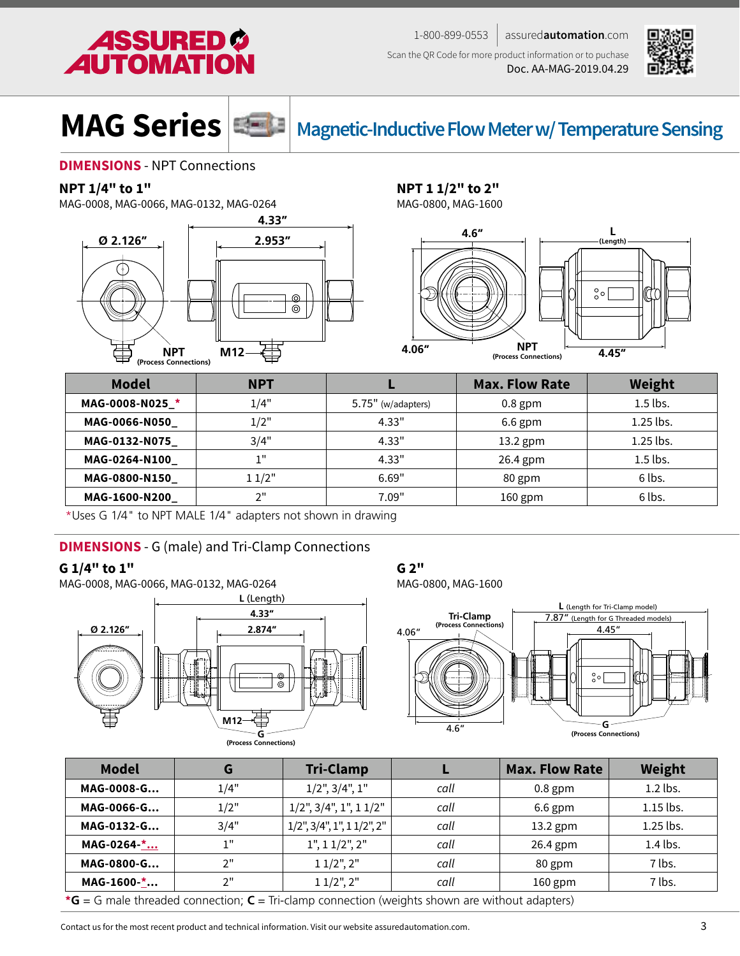





**MAG Series Magnetic-Inductive Flow Meter w/ Temperature Sensing** 

#### **DIMENSIONS** - NPT Connections

#### **NPT 1/4" to 1"**

MAG-0008, MAG-0066, MAG-0132, MAG-0264



### **NPT 1 1/2" to 2"**

MAG-0800, MAG-1600



| NPT                   |       |
|-----------------------|-------|
| (Process Connections) | 4.45" |

| <b>Model</b>  | <b>NPT</b> |                    | <b>Max. Flow Rate</b> | Weight      |
|---------------|------------|--------------------|-----------------------|-------------|
| MAG-0008-N025 | 1/4"       | 5.75" (w/adapters) | $0.8$ gpm             | $1.5$ lbs.  |
| MAG-0066-N050 | 1/2"       | 4.33"              | $6.6$ gpm             | $1.25$ lbs. |
| MAG-0132-N075 | 3/4"       | 4.33"              | $13.2$ gpm            | $1.25$ lbs. |
| MAG-0264-N100 | 1"         | 4.33"              | 26.4 gpm              | $1.5$ lbs.  |
| MAG-0800-N150 | 11/2"      | 6.69"              | 80 gpm                | 6 lbs.      |
| MAG-1600-N200 | 2"         | 7.09"              | $160$ gpm             | 6 lbs.      |

\*Uses G 1/4" to NPT MALE 1/4" adapters not shown in drawing

#### **DIMENSIONS** - G (male) and Tri-Clamp Connections

#### **G 1/4" to 1"**

MAG-0008, MAG-0066, MAG-0132, MAG-0264



#### **G 2"**

MAG-0800, MAG-1600



| <b>Model</b>                                                                                                    | G     | <b>Tri-Clamp</b>                          |      | <b>Max. Flow Rate</b> | Weight    |  |
|-----------------------------------------------------------------------------------------------------------------|-------|-------------------------------------------|------|-----------------------|-----------|--|
| MAG-0008-G                                                                                                      | 1/4"  | $1/2$ ", $3/4$ ", $1$ "                   | call | $0.8$ gpm             | 1.2 lbs.  |  |
| MAG-0066-G                                                                                                      | 1/2"  | $1/2$ ", $3/4$ ", $1$ ", $1 1/2$ "        | call | $6.6$ gpm             | 1.15 lbs. |  |
| MAG-0132-G                                                                                                      | 3/4"  | $1/2$ ", $3/4$ ", $1$ ", $1 1/2$ ", $2$ " | call | $13.2$ gpm            | 1.25 lbs. |  |
| MAG-0264-*                                                                                                      | -1 !! | 1", 11/2", 2"                             | call | 26.4 gpm              | 1.4 lbs.  |  |
| MAG-0800-G                                                                                                      | 2"    | $11/2$ ", $2$ "                           | call | 80 gpm                | 7 lbs.    |  |
| MAG-1600-*                                                                                                      | 2"    | $11/2$ ", 2"                              | call | $160$ gpm             | 7 lbs.    |  |
| * <b>G</b> = G male threaded connection; $C = \text{Tri-clamp connection}$ (weights shown are without adapters) |       |                                           |      |                       |           |  |